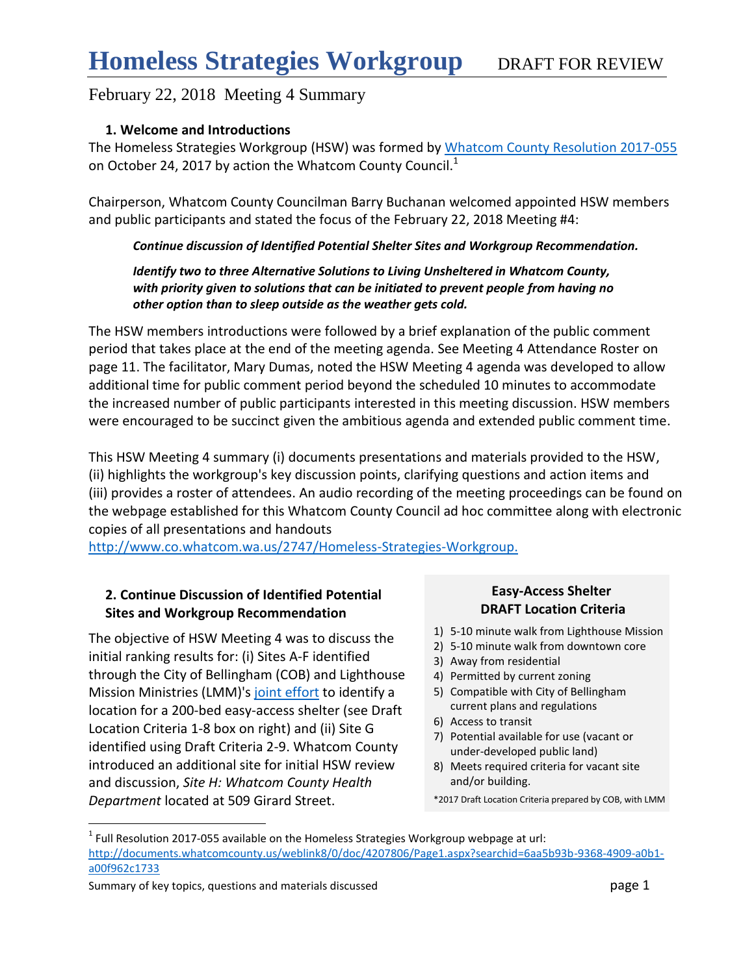### **1. Welcome and Introductions**

The Homeless Strategies Workgroup (HSW) was formed by [Whatcom County Resolution 2017-055](http://documents.whatcomcounty.us/weblink8/0/doc/4207806/Page1.aspx?searchid=6aa5b93b-9368-4909-a0b1-a00f962c1733) on October 24, 2017 by action the Whatcom County Council.<sup>1</sup>

Chairperson, Whatcom County Councilman Barry Buchanan welcomed appointed HSW members and public participants and stated the focus of the February 22, 2018 Meeting #4:

### *Continue discussion of Identified Potential Shelter Sites and Workgroup Recommendation.*

#### *Identify two to three Alternative Solutions to Living Unsheltered in Whatcom County, with priority given to solutions that can be initiated to prevent people from having no other option than to sleep outside as the weather gets cold.*

The HSW members introductions were followed by a brief explanation of the public comment period that takes place at the end of the meeting agenda. See Meeting 4 Attendance Roster on page 11. The facilitator, Mary Dumas, noted the HSW Meeting 4 agenda was developed to allow additional time for public comment period beyond the scheduled 10 minutes to accommodate the increased number of public participants interested in this meeting discussion. HSW members were encouraged to be succinct given the ambitious agenda and extended public comment time.

This HSW Meeting 4 summary (i) documents presentations and materials provided to the HSW, (ii) highlights the workgroup's key discussion points, clarifying questions and action items and (iii) provides a roster of attendees. An audio recording of the meeting proceedings can be found on the webpage established for this Whatcom County Council ad hoc committee along with electronic copies of all presentations and handouts

<http://www.co.whatcom.wa.us/2747/Homeless-Strategies-Workgroup.>

### **2. Continue Discussion of Identified Potential Sites and Workgroup Recommendation**

The objective of HSW Meeting 4 was to discuss the initial ranking results for: (i) Sites A-F identified through the City of Bellingham (COB) and Lighthouse Mission Ministries (LMM)'s [joint effort](https://www.cob.org/services/housing/Pages/emergency-night-shelter-proposal.aspx) to identify a location for a 200-bed easy-access shelter (see Draft Location Criteria 1-8 box on right) and (ii) Site G identified using Draft Criteria 2-9. Whatcom County introduced an additional site for initial HSW review and discussion, *Site H: Whatcom County Health Department* located at 509 Girard Street.

### **Easy-Access Shelter DRAFT Location Criteria**

- 1) 5-10 minute walk from Lighthouse Mission
- 2) 5-10 minute walk from downtown core
- 3) Away from residential
- 4) Permitted by current zoning
- 5) Compatible with City of Bellingham current plans and regulations
- 6) Access to transit
- 7) Potential available for use (vacant or under-developed public land)
- 8) Meets required criteria for vacant site and/or building.
- \*2017 Draft Location Criteria prepared by COB, with LMM

Summary of key topics, questions and materials discussed **page 1** page 1

 $\overline{a}$ 

 $1$  Full Resolution 2017-055 available on the Homeless Strategies Workgroup webpage at url: [http://documents.whatcomcounty.us/weblink8/0/doc/4207806/Page1.aspx?searchid=6aa5b93b-9368-4909-a0b1](http://documents.whatcomcounty.us/weblink8/0/doc/4207806/Page1.aspx?searchid=6aa5b93b-9368-4909-a0b1-a00f962c1733) [a00f962c1733](http://documents.whatcomcounty.us/weblink8/0/doc/4207806/Page1.aspx?searchid=6aa5b93b-9368-4909-a0b1-a00f962c1733)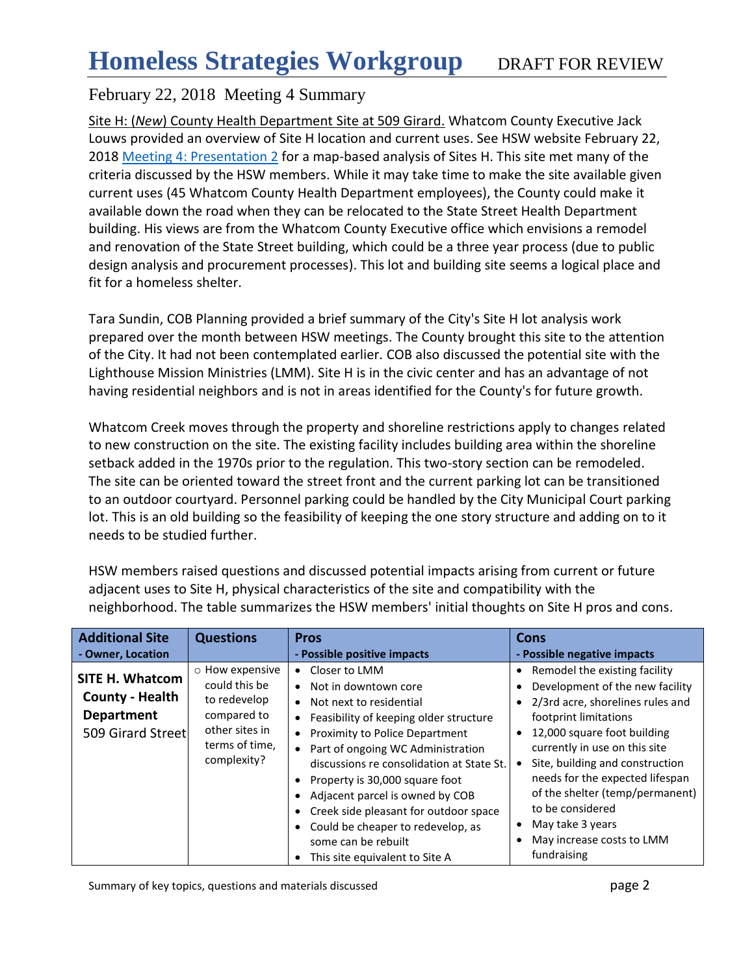Site H: (*New*) County Health Department Site at 509 Girard. Whatcom County Executive Jack Louws provided an overview of Site H location and current uses. See HSW website February 22, 2018 [Meeting 4: Presentation](http://www.co.whatcom.wa.us/2747/Homeless-Strategies-Workgroup) 2 for a map-based analysis of Sites H. This site met many of the criteria discussed by the HSW members. While it may take time to make the site available given current uses (45 Whatcom County Health Department employees), the County could make it available down the road when they can be relocated to the State Street Health Department building. His views are from the Whatcom County Executive office which envisions a remodel and renovation of the State Street building, which could be a three year process (due to public design analysis and procurement processes). This lot and building site seems a logical place and fit for a homeless shelter.

Tara Sundin, COB Planning provided a brief summary of the City's Site H lot analysis work prepared over the month between HSW meetings. The County brought this site to the attention of the City. It had not been contemplated earlier. COB also discussed the potential site with the Lighthouse Mission Ministries (LMM). Site H is in the civic center and has an advantage of not having residential neighbors and is not in areas identified for the County's for future growth.

Whatcom Creek moves through the property and shoreline restrictions apply to changes related to new construction on the site. The existing facility includes building area within the shoreline setback added in the 1970s prior to the regulation. This two-story section can be remodeled. The site can be oriented toward the street front and the current parking lot can be transitioned to an outdoor courtyard. Personnel parking could be handled by the City Municipal Court parking lot. This is an old building so the feasibility of keeping the one story structure and adding on to it needs to be studied further.

| <b>Additional Site</b>                                                                     | <b>Questions</b>                                                                                                   | <b>Pros</b>                                                                                                                                                                                                                                                                                                                                                                                                                                                                                     | Cons                                                                                                                                                                                                                                                                                                                                                                                                                              |
|--------------------------------------------------------------------------------------------|--------------------------------------------------------------------------------------------------------------------|-------------------------------------------------------------------------------------------------------------------------------------------------------------------------------------------------------------------------------------------------------------------------------------------------------------------------------------------------------------------------------------------------------------------------------------------------------------------------------------------------|-----------------------------------------------------------------------------------------------------------------------------------------------------------------------------------------------------------------------------------------------------------------------------------------------------------------------------------------------------------------------------------------------------------------------------------|
| - Owner, Location                                                                          |                                                                                                                    | - Possible positive impacts                                                                                                                                                                                                                                                                                                                                                                                                                                                                     | - Possible negative impacts                                                                                                                                                                                                                                                                                                                                                                                                       |
| <b>SITE H. Whatcom</b><br><b>County - Health</b><br><b>Department</b><br>509 Girard Street | o How expensive<br>could this be<br>to redevelop<br>compared to<br>other sites in<br>terms of time,<br>complexity? | Closer to LMM<br>Not in downtown core<br>$\bullet$<br>Not next to residential<br>٠<br>Feasibility of keeping older structure<br>٠<br><b>Proximity to Police Department</b><br>$\bullet$<br>Part of ongoing WC Administration<br>discussions re consolidation at State St.<br>Property is 30,000 square foot<br>٠<br>Adjacent parcel is owned by COB<br>Creek side pleasant for outdoor space<br>Could be cheaper to redevelop, as<br>some can be rebuilt<br>This site equivalent to Site A<br>٠ | Remodel the existing facility<br>$\bullet$<br>Development of the new facility<br>2/3rd acre, shorelines rules and<br>$\bullet$<br>footprint limitations<br>12,000 square foot building<br>$\bullet$<br>currently in use on this site<br>Site, building and construction<br>needs for the expected lifespan<br>of the shelter (temp/permanent)<br>to be considered<br>May take 3 years<br>May increase costs to LMM<br>fundraising |

HSW members raised questions and discussed potential impacts arising from current or future adjacent uses to Site H, physical characteristics of the site and compatibility with the neighborhood. The table summarizes the HSW members' initial thoughts on Site H pros and cons.

Summary of key topics, questions and materials discussed **page 2** page 2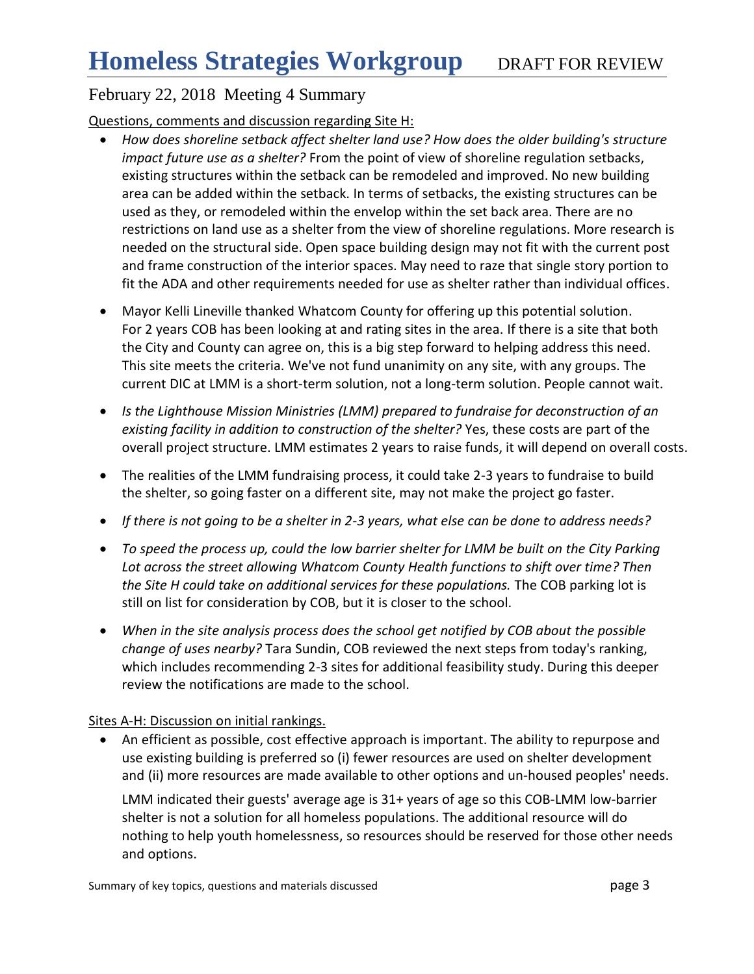### Questions, comments and discussion regarding Site H:

- *How does shoreline setback affect shelter land use? How does the older building's structure impact future use as a shelter?* From the point of view of shoreline regulation setbacks, existing structures within the setback can be remodeled and improved. No new building area can be added within the setback. In terms of setbacks, the existing structures can be used as they, or remodeled within the envelop within the set back area. There are no restrictions on land use as a shelter from the view of shoreline regulations. More research is needed on the structural side. Open space building design may not fit with the current post and frame construction of the interior spaces. May need to raze that single story portion to fit the ADA and other requirements needed for use as shelter rather than individual offices.
- Mayor Kelli Lineville thanked Whatcom County for offering up this potential solution. For 2 years COB has been looking at and rating sites in the area. If there is a site that both the City and County can agree on, this is a big step forward to helping address this need. This site meets the criteria. We've not fund unanimity on any site, with any groups. The current DIC at LMM is a short-term solution, not a long-term solution. People cannot wait.
- *Is the Lighthouse Mission Ministries (LMM) prepared to fundraise for deconstruction of an existing facility in addition to construction of the shelter?* Yes, these costs are part of the overall project structure. LMM estimates 2 years to raise funds, it will depend on overall costs.
- The realities of the LMM fundraising process, it could take 2-3 years to fundraise to build the shelter, so going faster on a different site, may not make the project go faster.
- *If there is not going to be a shelter in 2-3 years, what else can be done to address needs?*
- *To speed the process up, could the low barrier shelter for LMM be built on the City Parking Lot across the street allowing Whatcom County Health functions to shift over time? Then the Site H could take on additional services for these populations.* The COB parking lot is still on list for consideration by COB, but it is closer to the school.
- *When in the site analysis process does the school get notified by COB about the possible change of uses nearby?* Tara Sundin, COB reviewed the next steps from today's ranking, which includes recommending 2-3 sites for additional feasibility study. During this deeper review the notifications are made to the school.

### Sites A-H: Discussion on initial rankings.

 An efficient as possible, cost effective approach is important. The ability to repurpose and use existing building is preferred so (i) fewer resources are used on shelter development and (ii) more resources are made available to other options and un-housed peoples' needs.

LMM indicated their guests' average age is 31+ years of age so this COB-LMM low-barrier shelter is not a solution for all homeless populations. The additional resource will do nothing to help youth homelessness, so resources should be reserved for those other needs and options.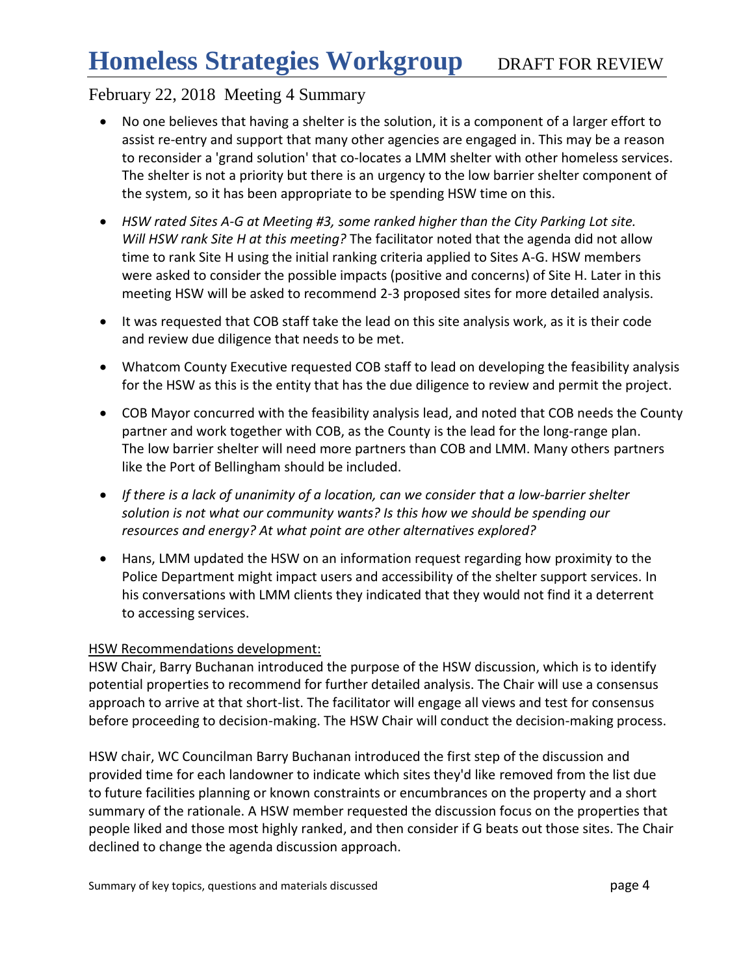- No one believes that having a shelter is the solution, it is a component of a larger effort to assist re-entry and support that many other agencies are engaged in. This may be a reason to reconsider a 'grand solution' that co-locates a LMM shelter with other homeless services. The shelter is not a priority but there is an urgency to the low barrier shelter component of the system, so it has been appropriate to be spending HSW time on this.
- *HSW rated Sites A-G at Meeting #3, some ranked higher than the City Parking Lot site. Will HSW rank Site H at this meeting?* The facilitator noted that the agenda did not allow time to rank Site H using the initial ranking criteria applied to Sites A-G. HSW members were asked to consider the possible impacts (positive and concerns) of Site H. Later in this meeting HSW will be asked to recommend 2-3 proposed sites for more detailed analysis.
- It was requested that COB staff take the lead on this site analysis work, as it is their code and review due diligence that needs to be met.
- Whatcom County Executive requested COB staff to lead on developing the feasibility analysis for the HSW as this is the entity that has the due diligence to review and permit the project.
- COB Mayor concurred with the feasibility analysis lead, and noted that COB needs the County partner and work together with COB, as the County is the lead for the long-range plan. The low barrier shelter will need more partners than COB and LMM. Many others partners like the Port of Bellingham should be included.
- If there is a lack of unanimity of a location, can we consider that a low-barrier shelter *solution is not what our community wants? Is this how we should be spending our resources and energy? At what point are other alternatives explored?*
- Hans, LMM updated the HSW on an information request regarding how proximity to the Police Department might impact users and accessibility of the shelter support services. In his conversations with LMM clients they indicated that they would not find it a deterrent to accessing services.

### HSW Recommendations development:

HSW Chair, Barry Buchanan introduced the purpose of the HSW discussion, which is to identify potential properties to recommend for further detailed analysis. The Chair will use a consensus approach to arrive at that short-list. The facilitator will engage all views and test for consensus before proceeding to decision-making. The HSW Chair will conduct the decision-making process.

HSW chair, WC Councilman Barry Buchanan introduced the first step of the discussion and provided time for each landowner to indicate which sites they'd like removed from the list due to future facilities planning or known constraints or encumbrances on the property and a short summary of the rationale. A HSW member requested the discussion focus on the properties that people liked and those most highly ranked, and then consider if G beats out those sites. The Chair declined to change the agenda discussion approach.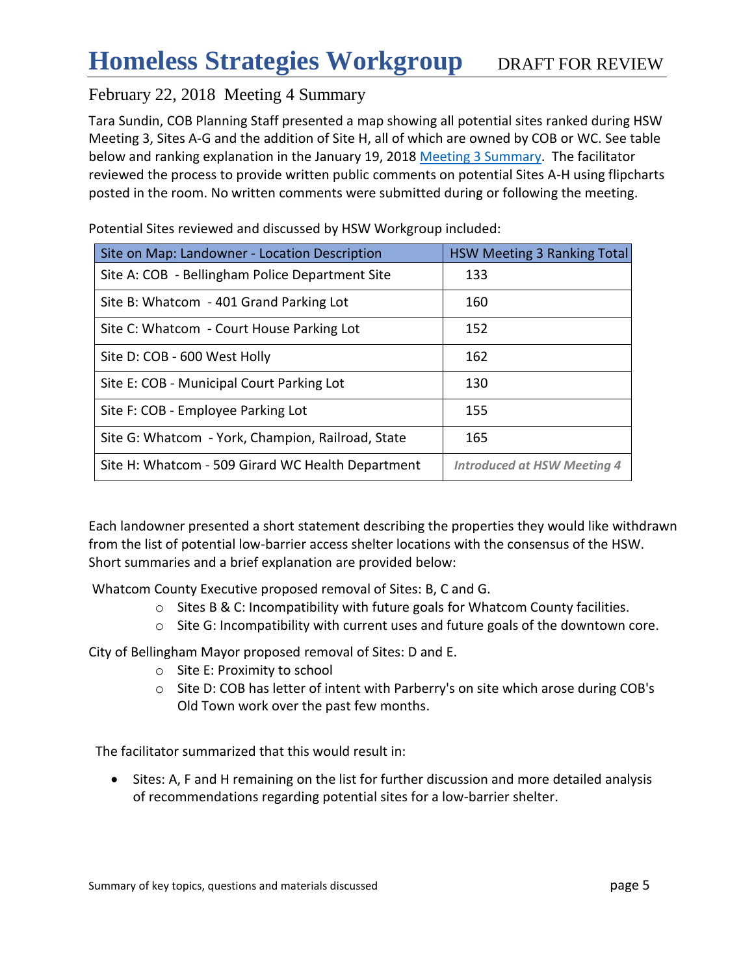Tara Sundin, COB Planning Staff presented a map showing all potential sites ranked during HSW Meeting 3, Sites A-G and the addition of Site H, all of which are owned by COB or WC. See table below and ranking explanation in the January 19, 2018 [Meeting 3](http://www.co.whatcom.wa.us/2747/Homeless-Strategies-Workgroup) Summary. The facilitator reviewed the process to provide written public comments on potential Sites A-H using flipcharts posted in the room. No written comments were submitted during or following the meeting.

| Site on Map: Landowner - Location Description     | <b>HSW Meeting 3 Ranking Total</b> |
|---------------------------------------------------|------------------------------------|
| Site A: COB - Bellingham Police Department Site   | 133                                |
| Site B: Whatcom - 401 Grand Parking Lot           | 160                                |
| Site C: Whatcom - Court House Parking Lot         | 152                                |
| Site D: COB - 600 West Holly                      | 162                                |
| Site E: COB - Municipal Court Parking Lot         | 130                                |
| Site F: COB - Employee Parking Lot                | 155                                |
| Site G: Whatcom - York, Champion, Railroad, State | 165                                |
| Site H: Whatcom - 509 Girard WC Health Department | <b>Introduced at HSW Meeting 4</b> |

Potential Sites reviewed and discussed by HSW Workgroup included:

Each landowner presented a short statement describing the properties they would like withdrawn from the list of potential low-barrier access shelter locations with the consensus of the HSW. Short summaries and a brief explanation are provided below:

Whatcom County Executive proposed removal of Sites: B, C and G.

- $\circ$  Sites B & C: Incompatibility with future goals for Whatcom County facilities.
- $\circ$  Site G: Incompatibility with current uses and future goals of the downtown core.

City of Bellingham Mayor proposed removal of Sites: D and E.

- o Site E: Proximity to school
- $\circ$  Site D: COB has letter of intent with Parberry's on site which arose during COB's Old Town work over the past few months.

The facilitator summarized that this would result in:

 Sites: A, F and H remaining on the list for further discussion and more detailed analysis of recommendations regarding potential sites for a low-barrier shelter.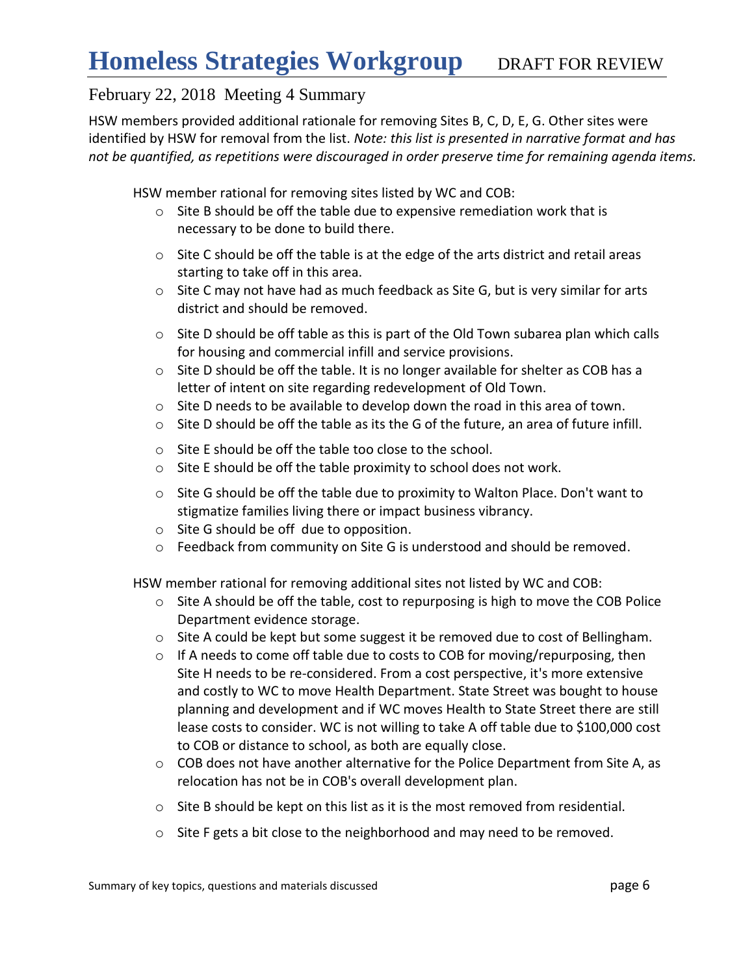HSW members provided additional rationale for removing Sites B, C, D, E, G. Other sites were identified by HSW for removal from the list. *Note: this list is presented in narrative format and has not be quantified, as repetitions were discouraged in order preserve time for remaining agenda items.*

HSW member rational for removing sites listed by WC and COB:

- o Site B should be off the table due to expensive remediation work that is necessary to be done to build there.
- o Site C should be off the table is at the edge of the arts district and retail areas starting to take off in this area.
- o Site C may not have had as much feedback as Site G, but is very similar for arts district and should be removed.
- $\circ$  Site D should be off table as this is part of the Old Town subarea plan which calls for housing and commercial infill and service provisions.
- $\circ$  Site D should be off the table. It is no longer available for shelter as COB has a letter of intent on site regarding redevelopment of Old Town.
- o Site D needs to be available to develop down the road in this area of town.
- $\circ$  Site D should be off the table as its the G of the future, an area of future infill.
- o Site E should be off the table too close to the school.
- o Site E should be off the table proximity to school does not work.
- o Site G should be off the table due to proximity to Walton Place. Don't want to stigmatize families living there or impact business vibrancy.
- o Site G should be off due to opposition.
- o Feedback from community on Site G is understood and should be removed.

HSW member rational for removing additional sites not listed by WC and COB:

- o Site A should be off the table, cost to repurposing is high to move the COB Police Department evidence storage.
- o Site A could be kept but some suggest it be removed due to cost of Bellingham.
- o If A needs to come off table due to costs to COB for moving/repurposing, then Site H needs to be re-considered. From a cost perspective, it's more extensive and costly to WC to move Health Department. State Street was bought to house planning and development and if WC moves Health to State Street there are still lease costs to consider. WC is not willing to take A off table due to \$100,000 cost to COB or distance to school, as both are equally close.
- o COB does not have another alternative for the Police Department from Site A, as relocation has not be in COB's overall development plan.
- $\circ$  Site B should be kept on this list as it is the most removed from residential.
- o Site F gets a bit close to the neighborhood and may need to be removed.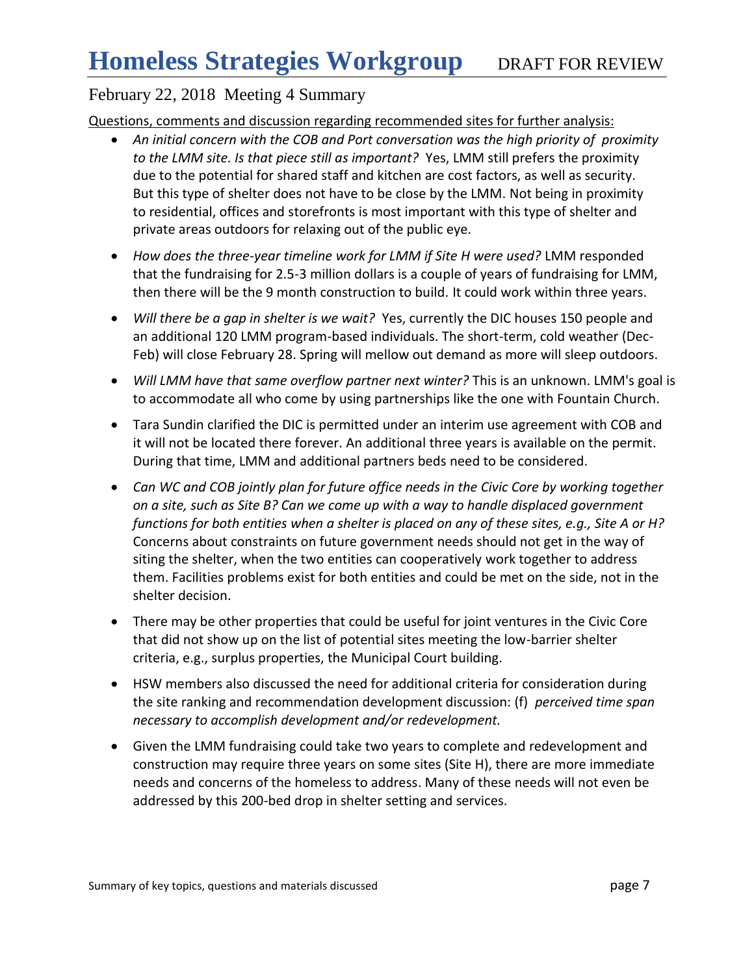Questions, comments and discussion regarding recommended sites for further analysis:

- *An initial concern with the COB and Port conversation was the high priority of proximity to the LMM site. Is that piece still as important?* Yes, LMM still prefers the proximity due to the potential for shared staff and kitchen are cost factors, as well as security. But this type of shelter does not have to be close by the LMM. Not being in proximity to residential, offices and storefronts is most important with this type of shelter and private areas outdoors for relaxing out of the public eye.
- How does the three-year timeline work for LMM if Site H were used? LMM responded that the fundraising for 2.5-3 million dollars is a couple of years of fundraising for LMM, then there will be the 9 month construction to build. It could work within three years.
- *Will there be a gap in shelter is we wait?* Yes, currently the DIC houses 150 people and an additional 120 LMM program-based individuals. The short-term, cold weather (Dec-Feb) will close February 28. Spring will mellow out demand as more will sleep outdoors.
- *Will LMM have that same overflow partner next winter?* This is an unknown. LMM's goal is to accommodate all who come by using partnerships like the one with Fountain Church.
- Tara Sundin clarified the DIC is permitted under an interim use agreement with COB and it will not be located there forever. An additional three years is available on the permit. During that time, LMM and additional partners beds need to be considered.
- *Can WC and COB jointly plan for future office needs in the Civic Core by working together on a site, such as Site B? Can we come up with a way to handle displaced government functions for both entities when a shelter is placed on any of these sites, e.g., Site A or H?*  Concerns about constraints on future government needs should not get in the way of siting the shelter, when the two entities can cooperatively work together to address them. Facilities problems exist for both entities and could be met on the side, not in the shelter decision.
- There may be other properties that could be useful for joint ventures in the Civic Core that did not show up on the list of potential sites meeting the low-barrier shelter criteria, e.g., surplus properties, the Municipal Court building.
- HSW members also discussed the need for additional criteria for consideration during the site ranking and recommendation development discussion: (f) *perceived time span necessary to accomplish development and/or redevelopment.*
- Given the LMM fundraising could take two years to complete and redevelopment and construction may require three years on some sites (Site H), there are more immediate needs and concerns of the homeless to address. Many of these needs will not even be addressed by this 200-bed drop in shelter setting and services.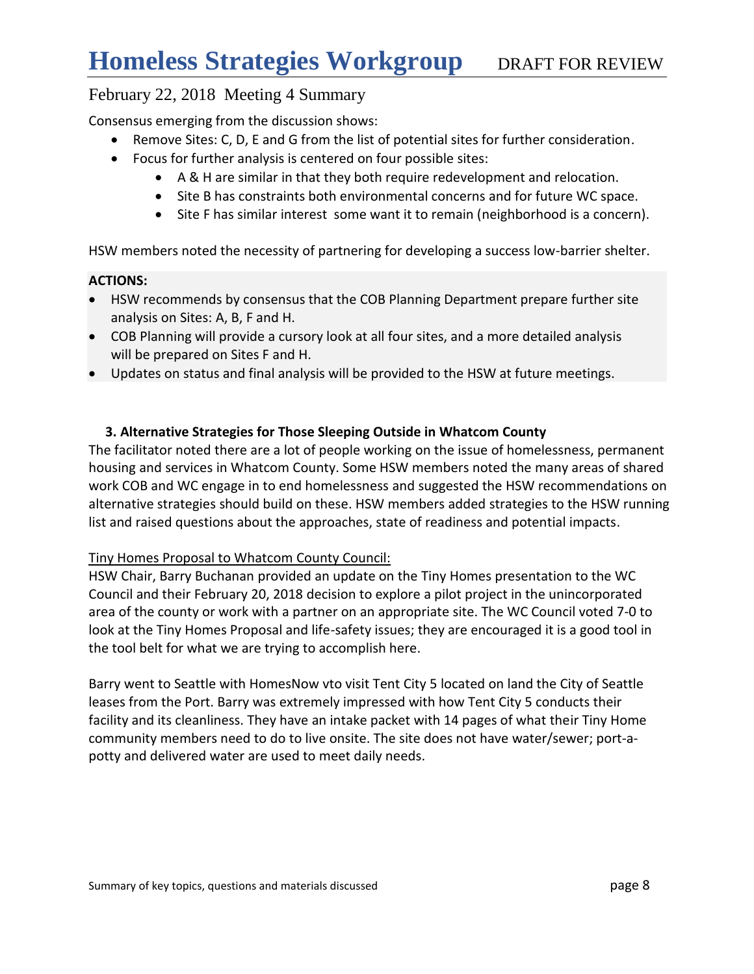Consensus emerging from the discussion shows:

- Remove Sites: C, D, E and G from the list of potential sites for further consideration.
- Focus for further analysis is centered on four possible sites:
	- A & H are similar in that they both require redevelopment and relocation.
	- Site B has constraints both environmental concerns and for future WC space.
	- Site F has similar interest some want it to remain (neighborhood is a concern).

HSW members noted the necessity of partnering for developing a success low-barrier shelter.

#### **ACTIONS:**

- HSW recommends by consensus that the COB Planning Department prepare further site analysis on Sites: A, B, F and H.
- COB Planning will provide a cursory look at all four sites, and a more detailed analysis will be prepared on Sites F and H.
- Updates on status and final analysis will be provided to the HSW at future meetings.

#### **3. Alternative Strategies for Those Sleeping Outside in Whatcom County**

The facilitator noted there are a lot of people working on the issue of homelessness, permanent housing and services in Whatcom County. Some HSW members noted the many areas of shared work COB and WC engage in to end homelessness and suggested the HSW recommendations on alternative strategies should build on these. HSW members added strategies to the HSW running list and raised questions about the approaches, state of readiness and potential impacts.

#### Tiny Homes Proposal to Whatcom County Council:

HSW Chair, Barry Buchanan provided an update on the Tiny Homes presentation to the WC Council and their February 20, 2018 decision to explore a pilot project in the unincorporated area of the county or work with a partner on an appropriate site. The WC Council voted 7-0 to look at the Tiny Homes Proposal and life-safety issues; they are encouraged it is a good tool in the tool belt for what we are trying to accomplish here.

Barry went to Seattle with HomesNow vto visit Tent City 5 located on land the City of Seattle leases from the Port. Barry was extremely impressed with how Tent City 5 conducts their facility and its cleanliness. They have an intake packet with 14 pages of what their Tiny Home community members need to do to live onsite. The site does not have water/sewer; port-apotty and delivered water are used to meet daily needs.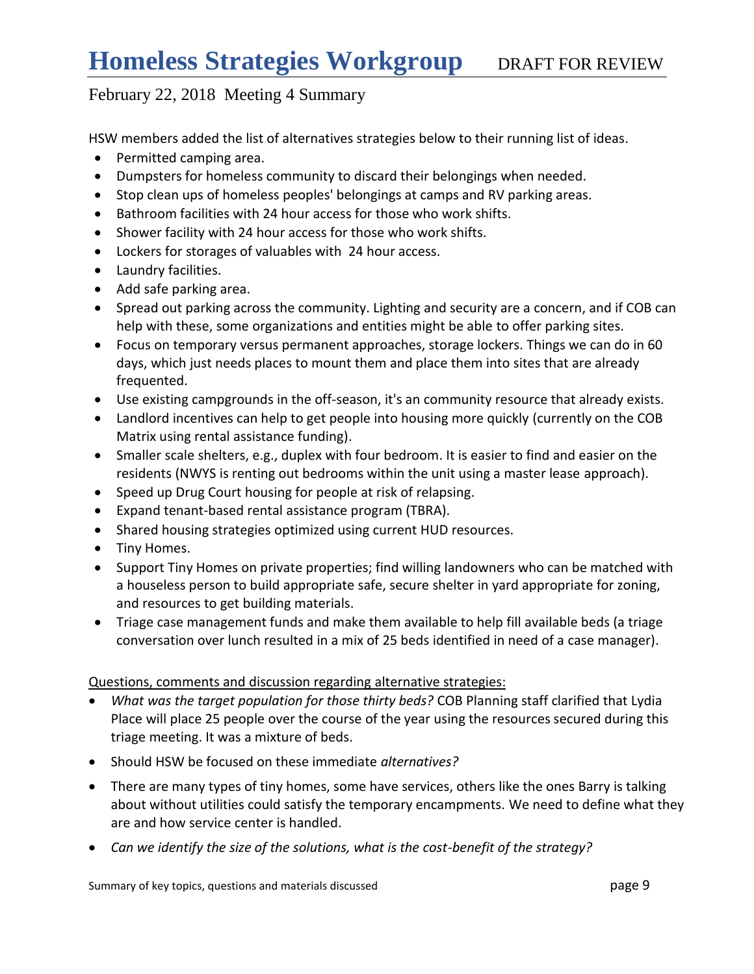HSW members added the list of alternatives strategies below to their running list of ideas.

- Permitted camping area.
- Dumpsters for homeless community to discard their belongings when needed.
- Stop clean ups of homeless peoples' belongings at camps and RV parking areas.
- Bathroom facilities with 24 hour access for those who work shifts.
- Shower facility with 24 hour access for those who work shifts.
- Lockers for storages of valuables with 24 hour access.
- Laundry facilities.
- Add safe parking area.
- Spread out parking across the community. Lighting and security are a concern, and if COB can help with these, some organizations and entities might be able to offer parking sites.
- Focus on temporary versus permanent approaches, storage lockers. Things we can do in 60 days, which just needs places to mount them and place them into sites that are already frequented.
- Use existing campgrounds in the off-season, it's an community resource that already exists.
- Landlord incentives can help to get people into housing more quickly (currently on the COB Matrix using rental assistance funding).
- Smaller scale shelters, e.g., duplex with four bedroom. It is easier to find and easier on the residents (NWYS is renting out bedrooms within the unit using a master lease approach).
- Speed up Drug Court housing for people at risk of relapsing.
- Expand tenant-based rental assistance program (TBRA).
- Shared housing strategies optimized using current HUD resources.
- Tiny Homes.
- Support Tiny Homes on private properties; find willing landowners who can be matched with a houseless person to build appropriate safe, secure shelter in yard appropriate for zoning, and resources to get building materials.
- Triage case management funds and make them available to help fill available beds (a triage conversation over lunch resulted in a mix of 25 beds identified in need of a case manager).

### Questions, comments and discussion regarding alternative strategies:

- *What was the target population for those thirty beds?* COB Planning staff clarified that Lydia Place will place 25 people over the course of the year using the resources secured during this triage meeting. It was a mixture of beds.
- Should HSW be focused on these immediate *alternatives?*
- There are many types of tiny homes, some have services, others like the ones Barry is talking about without utilities could satisfy the temporary encampments. We need to define what they are and how service center is handled.
- *Can we identify the size of the solutions, what is the cost-benefit of the strategy?*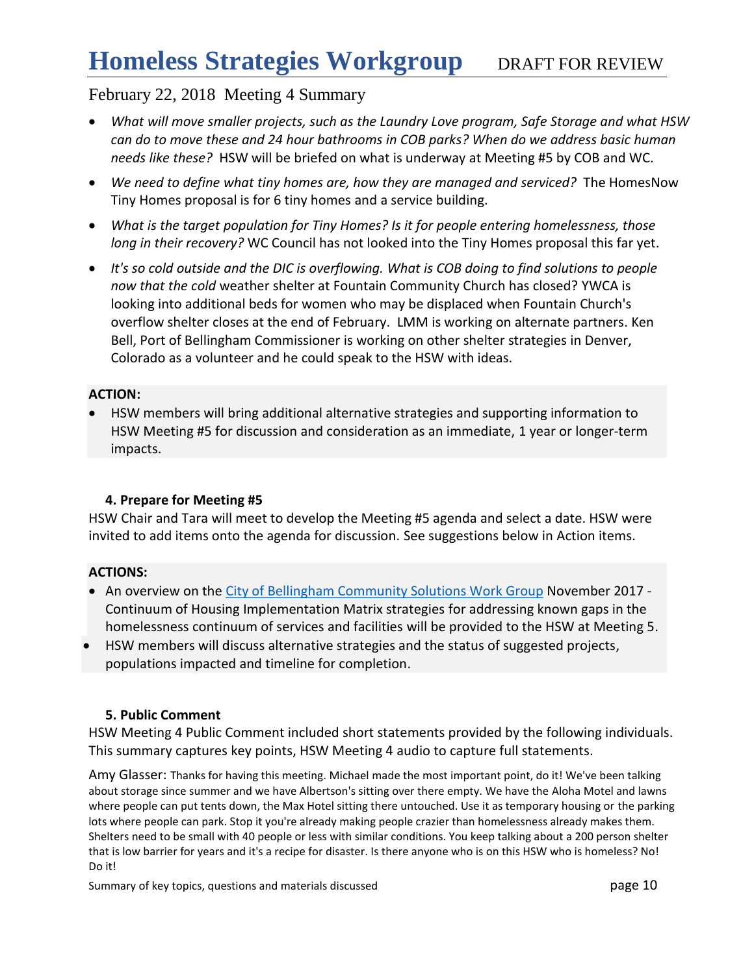- *What will move smaller projects, such as the Laundry Love program, Safe Storage and what HSW can do to move these and 24 hour bathrooms in COB parks? When do we address basic human needs like these?* HSW will be briefed on what is underway at Meeting #5 by COB and WC.
- *We need to define what tiny homes are, how they are managed and serviced?* The HomesNow Tiny Homes proposal is for 6 tiny homes and a service building.
- *What is the target population for Tiny Homes? Is it for people entering homelessness, those long in their recovery?* WC Council has not looked into the Tiny Homes proposal this far yet.
- *It's so cold outside and the DIC is overflowing. What is COB doing to find solutions to people now that the cold* weather shelter at Fountain Community Church has closed? YWCA is looking into additional beds for women who may be displaced when Fountain Church's overflow shelter closes at the end of February. LMM is working on alternate partners. Ken Bell, Port of Bellingham Commissioner is working on other shelter strategies in Denver, Colorado as a volunteer and he could speak to the HSW with ideas.

#### **ACTION:**

 HSW members will bring additional alternative strategies and supporting information to HSW Meeting #5 for discussion and consideration as an immediate, 1 year or longer-term impacts.

### **4. Prepare for Meeting #5**

HSW Chair and Tara will meet to develop the Meeting #5 agenda and select a date. HSW were invited to add items onto the agenda for discussion. See suggestions below in Action items.

#### **ACTIONS:**

- An overview on the [City of Bellingham Community Solutions Work Group](https://www.cob.org/Documents/mayor/community-solutions-workgroup/csw-housing-report-of-recommendations.pdf) November 2017 -Continuum of Housing Implementation Matrix strategies for addressing known gaps in the homelessness continuum of services and facilities will be provided to the HSW at Meeting 5.
- HSW members will discuss alternative strategies and the status of suggested projects, populations impacted and timeline for completion.

#### **5. Public Comment**

HSW Meeting 4 Public Comment included short statements provided by the following individuals. This summary captures key points, HSW Meeting 4 audio to capture full statements.

Amy Glasser: Thanks for having this meeting. Michael made the most important point, do it! We've been talking about storage since summer and we have Albertson's sitting over there empty. We have the Aloha Motel and lawns where people can put tents down, the Max Hotel sitting there untouched. Use it as temporary housing or the parking lots where people can park. Stop it you're already making people crazier than homelessness already makes them. Shelters need to be small with 40 people or less with similar conditions. You keep talking about a 200 person shelter that is low barrier for years and it's a recipe for disaster. Is there anyone who is on this HSW who is homeless? No! Do it!

Summary of key topics, questions and materials discussed **page 10** page 10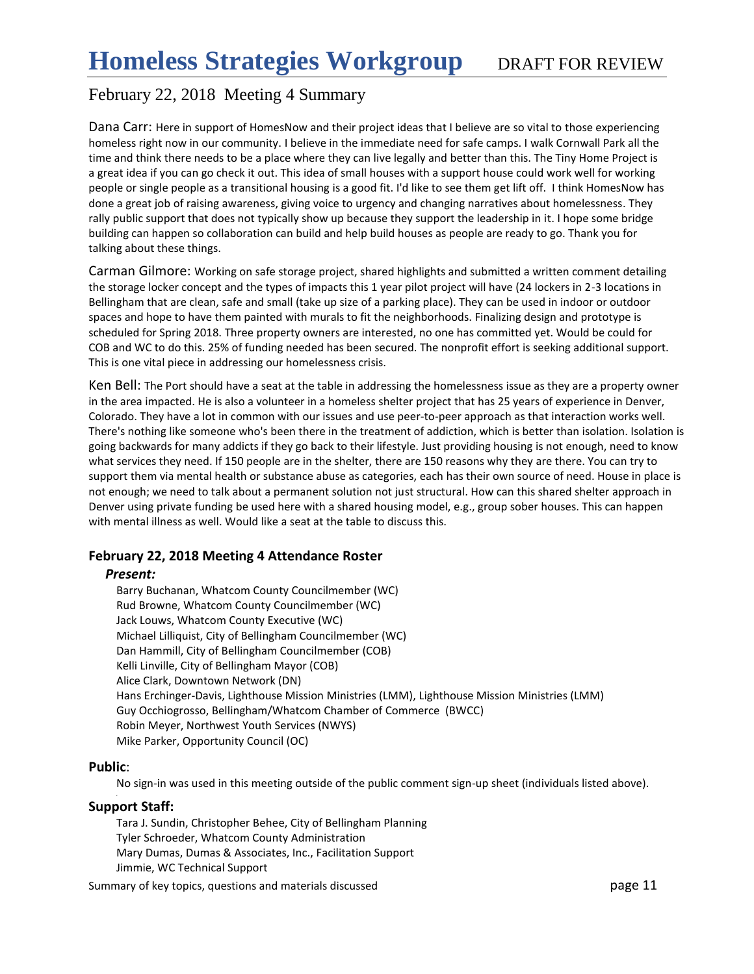Dana Carr: Here in support of HomesNow and their project ideas that I believe are so vital to those experiencing homeless right now in our community. I believe in the immediate need for safe camps. I walk Cornwall Park all the time and think there needs to be a place where they can live legally and better than this. The Tiny Home Project is a great idea if you can go check it out. This idea of small houses with a support house could work well for working people or single people as a transitional housing is a good fit. I'd like to see them get lift off. I think HomesNow has done a great job of raising awareness, giving voice to urgency and changing narratives about homelessness. They rally public support that does not typically show up because they support the leadership in it. I hope some bridge building can happen so collaboration can build and help build houses as people are ready to go. Thank you for talking about these things.

Carman Gilmore: Working on safe storage project, shared highlights and submitted a written comment detailing the storage locker concept and the types of impacts this 1 year pilot project will have (24 lockers in 2-3 locations in Bellingham that are clean, safe and small (take up size of a parking place). They can be used in indoor or outdoor spaces and hope to have them painted with murals to fit the neighborhoods. Finalizing design and prototype is scheduled for Spring 2018. Three property owners are interested, no one has committed yet. Would be could for COB and WC to do this. 25% of funding needed has been secured. The nonprofit effort is seeking additional support. This is one vital piece in addressing our homelessness crisis.

Ken Bell: The Port should have a seat at the table in addressing the homelessness issue as they are a property owner in the area impacted. He is also a volunteer in a homeless shelter project that has 25 years of experience in Denver, Colorado. They have a lot in common with our issues and use peer-to-peer approach as that interaction works well. There's nothing like someone who's been there in the treatment of addiction, which is better than isolation. Isolation is going backwards for many addicts if they go back to their lifestyle. Just providing housing is not enough, need to know what services they need. If 150 people are in the shelter, there are 150 reasons why they are there. You can try to support them via mental health or substance abuse as categories, each has their own source of need. House in place is not enough; we need to talk about a permanent solution not just structural. How can this shared shelter approach in Denver using private funding be used here with a shared housing model, e.g., group sober houses. This can happen with mental illness as well. Would like a seat at the table to discuss this.

#### **February 22, 2018 Meeting 4 Attendance Roster**

#### *Present:*

Barry Buchanan, Whatcom County Councilmember (WC) Rud Browne, Whatcom County Councilmember (WC) Jack Louws, Whatcom County Executive (WC) Michael Lilliquist, City of Bellingham Councilmember (WC) Dan Hammill, City of Bellingham Councilmember (COB) Kelli Linville, City of Bellingham Mayor (COB) Alice Clark, Downtown Network (DN) Hans Erchinger-Davis, Lighthouse Mission Ministries (LMM), Lighthouse Mission Ministries (LMM) Guy Occhiogrosso, Bellingham/Whatcom Chamber of Commerce (BWCC) Robin Meyer, Northwest Youth Services (NWYS) Mike Parker, Opportunity Council (OC)

#### **Public**:

,

No sign-in was used in this meeting outside of the public comment sign-up sheet (individuals listed above).

#### **Support Staff:**

Tara J. Sundin, Christopher Behee, City of Bellingham Planning Tyler Schroeder, Whatcom County Administration Mary Dumas, Dumas & Associates, Inc., Facilitation Support Jimmie, WC Technical Support

Summary of key topics, questions and materials discussed **page 11** and page 11